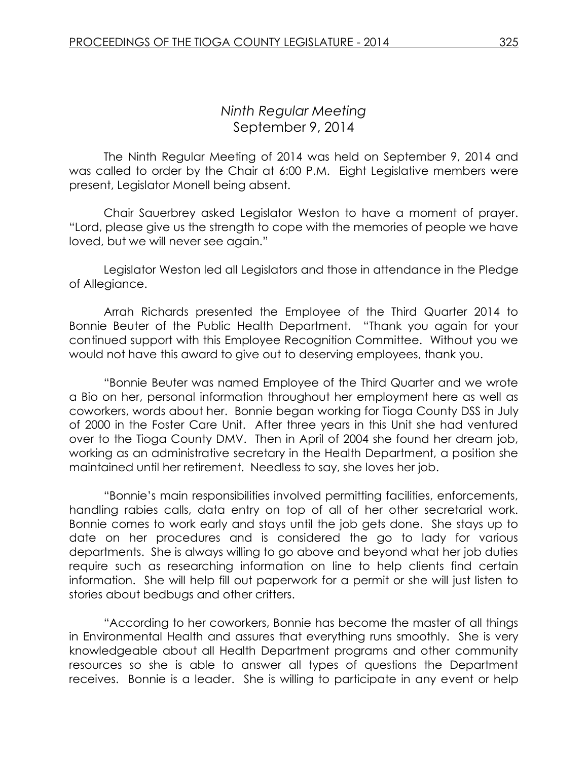# *Ninth Regular Meeting* September 9, 2014

The Ninth Regular Meeting of 2014 was held on September 9, 2014 and was called to order by the Chair at 6:00 P.M. Eight Legislative members were present, Legislator Monell being absent.

Chair Sauerbrey asked Legislator Weston to have a moment of prayer. "Lord, please give us the strength to cope with the memories of people we have loved, but we will never see again."

Legislator Weston led all Legislators and those in attendance in the Pledge of Allegiance.

Arrah Richards presented the Employee of the Third Quarter 2014 to Bonnie Beuter of the Public Health Department. "Thank you again for your continued support with this Employee Recognition Committee. Without you we would not have this award to give out to deserving employees, thank you.

"Bonnie Beuter was named Employee of the Third Quarter and we wrote a Bio on her, personal information throughout her employment here as well as coworkers, words about her. Bonnie began working for Tioga County DSS in July of 2000 in the Foster Care Unit. After three years in this Unit she had ventured over to the Tioga County DMV. Then in April of 2004 she found her dream job, working as an administrative secretary in the Health Department, a position she maintained until her retirement. Needless to say, she loves her job.

"Bonnie's main responsibilities involved permitting facilities, enforcements, handling rabies calls, data entry on top of all of her other secretarial work. Bonnie comes to work early and stays until the job gets done. She stays up to date on her procedures and is considered the go to lady for various departments. She is always willing to go above and beyond what her job duties require such as researching information on line to help clients find certain information. She will help fill out paperwork for a permit or she will just listen to stories about bedbugs and other critters.

"According to her coworkers, Bonnie has become the master of all things in Environmental Health and assures that everything runs smoothly. She is very knowledgeable about all Health Department programs and other community resources so she is able to answer all types of questions the Department receives. Bonnie is a leader. She is willing to participate in any event or help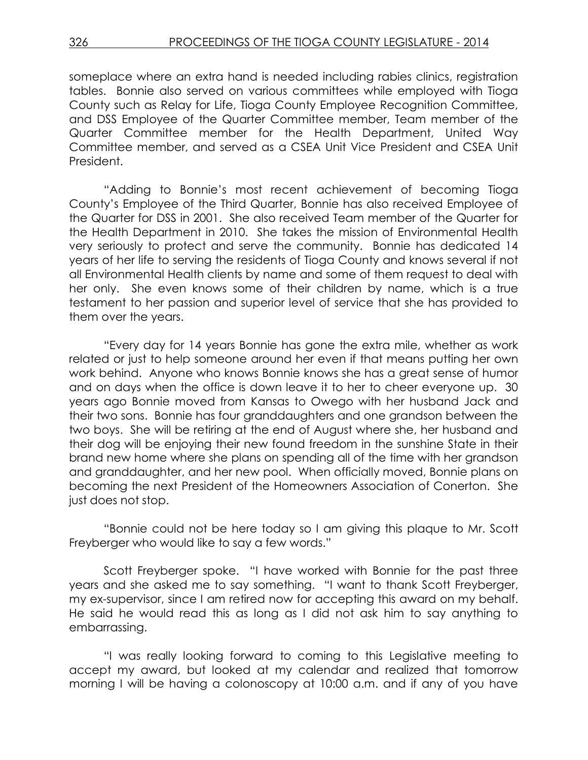someplace where an extra hand is needed including rabies clinics, registration tables. Bonnie also served on various committees while employed with Tioga County such as Relay for Life, Tioga County Employee Recognition Committee, and DSS Employee of the Quarter Committee member, Team member of the Quarter Committee member for the Health Department, United Way Committee member, and served as a CSEA Unit Vice President and CSEA Unit President.

"Adding to Bonnie's most recent achievement of becoming Tioga County's Employee of the Third Quarter, Bonnie has also received Employee of the Quarter for DSS in 2001. She also received Team member of the Quarter for the Health Department in 2010. She takes the mission of Environmental Health very seriously to protect and serve the community. Bonnie has dedicated 14 years of her life to serving the residents of Tioga County and knows several if not all Environmental Health clients by name and some of them request to deal with her only. She even knows some of their children by name, which is a true testament to her passion and superior level of service that she has provided to them over the years.

"Every day for 14 years Bonnie has gone the extra mile, whether as work related or just to help someone around her even if that means putting her own work behind. Anyone who knows Bonnie knows she has a great sense of humor and on days when the office is down leave it to her to cheer everyone up. 30 years ago Bonnie moved from Kansas to Owego with her husband Jack and their two sons. Bonnie has four granddaughters and one grandson between the two boys. She will be retiring at the end of August where she, her husband and their dog will be enjoying their new found freedom in the sunshine State in their brand new home where she plans on spending all of the time with her grandson and granddaughter, and her new pool. When officially moved, Bonnie plans on becoming the next President of the Homeowners Association of Conerton. She just does not stop.

"Bonnie could not be here today so I am giving this plaque to Mr. Scott Freyberger who would like to say a few words."

Scott Freyberger spoke. "I have worked with Bonnie for the past three years and she asked me to say something. "I want to thank Scott Freyberger, my ex-supervisor, since I am retired now for accepting this award on my behalf. He said he would read this as long as I did not ask him to say anything to embarrassing.

"I was really looking forward to coming to this Legislative meeting to accept my award, but looked at my calendar and realized that tomorrow morning I will be having a colonoscopy at 10:00 a.m. and if any of you have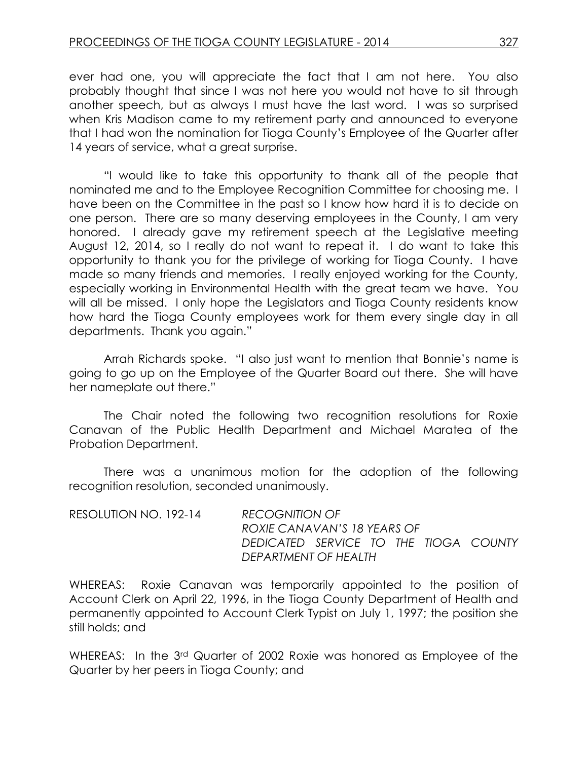ever had one, you will appreciate the fact that I am not here. You also probably thought that since I was not here you would not have to sit through another speech, but as always I must have the last word. I was so surprised when Kris Madison came to my retirement party and announced to everyone that I had won the nomination for Tioga County's Employee of the Quarter after 14 years of service, what a great surprise.

"I would like to take this opportunity to thank all of the people that nominated me and to the Employee Recognition Committee for choosing me. I have been on the Committee in the past so I know how hard it is to decide on one person. There are so many deserving employees in the County, I am very honored. I already gave my retirement speech at the Legislative meeting August 12, 2014, so I really do not want to repeat it. I do want to take this opportunity to thank you for the privilege of working for Tioga County. I have made so many friends and memories. I really enjoyed working for the County, especially working in Environmental Health with the great team we have. You will all be missed. I only hope the Legislators and Tioga County residents know how hard the Tioga County employees work for them every single day in all departments. Thank you again."

Arrah Richards spoke. "I also just want to mention that Bonnie's name is going to go up on the Employee of the Quarter Board out there. She will have her nameplate out there."

The Chair noted the following two recognition resolutions for Roxie Canavan of the Public Health Department and Michael Maratea of the Probation Department.

There was a unanimous motion for the adoption of the following recognition resolution, seconded unanimously.

| RESOLUTION NO. 192-14 | <b>RECOGNITION OF</b>                 |  |  |  |
|-----------------------|---------------------------------------|--|--|--|
|                       | ROXIE CANAVAN'S 18 YEARS OF           |  |  |  |
|                       | DEDICATED SERVICE TO THE TIOGA COUNTY |  |  |  |
|                       | DEPARTMENT OF HEALTH                  |  |  |  |

WHEREAS: Roxie Canavan was temporarily appointed to the position of Account Clerk on April 22, 1996, in the Tioga County Department of Health and permanently appointed to Account Clerk Typist on July 1, 1997; the position she still holds; and

WHEREAS: In the 3<sup>rd</sup> Quarter of 2002 Roxie was honored as Employee of the Quarter by her peers in Tioga County; and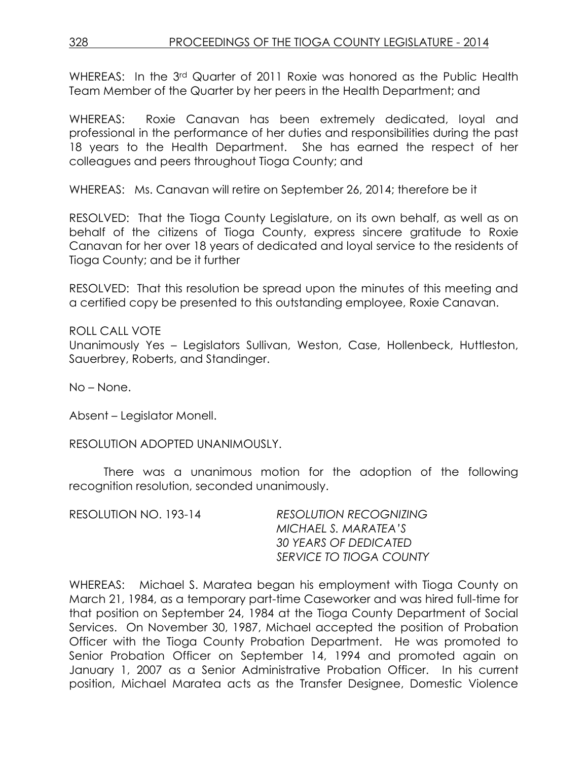WHEREAS: In the 3<sup>rd</sup> Quarter of 2011 Roxie was honored as the Public Health Team Member of the Quarter by her peers in the Health Department; and

WHEREAS: Roxie Canavan has been extremely dedicated, loyal and professional in the performance of her duties and responsibilities during the past 18 years to the Health Department. She has earned the respect of her colleagues and peers throughout Tioga County; and

WHEREAS: Ms. Canavan will retire on September 26, 2014; therefore be it

RESOLVED: That the Tioga County Legislature, on its own behalf, as well as on behalf of the citizens of Tioga County, express sincere gratitude to Roxie Canavan for her over 18 years of dedicated and loyal service to the residents of Tioga County; and be it further

RESOLVED: That this resolution be spread upon the minutes of this meeting and a certified copy be presented to this outstanding employee, Roxie Canavan.

ROLL CALL VOTE Unanimously Yes – Legislators Sullivan, Weston, Case, Hollenbeck, Huttleston, Sauerbrey, Roberts, and Standinger.

No – None.

Absent – Legislator Monell.

RESOLUTION ADOPTED UNANIMOUSLY.

There was a unanimous motion for the adoption of the following recognition resolution, seconded unanimously.

| RESOLUTION NO. 193-14 | <b>RESOLUTION RECOGNIZING</b> |
|-----------------------|-------------------------------|
|                       | MICHAEL S. MARATEA'S          |
|                       | 30 YEARS OF DEDICATED         |
|                       | SERVICE TO TIOGA COUNTY       |

WHEREAS: Michael S. Maratea began his employment with Tioga County on March 21, 1984, as a temporary part-time Caseworker and was hired full-time for that position on September 24, 1984 at the Tioga County Department of Social Services. On November 30, 1987, Michael accepted the position of Probation Officer with the Tioga County Probation Department. He was promoted to Senior Probation Officer on September 14, 1994 and promoted again on January 1, 2007 as a Senior Administrative Probation Officer. In his current position, Michael Maratea acts as the Transfer Designee, Domestic Violence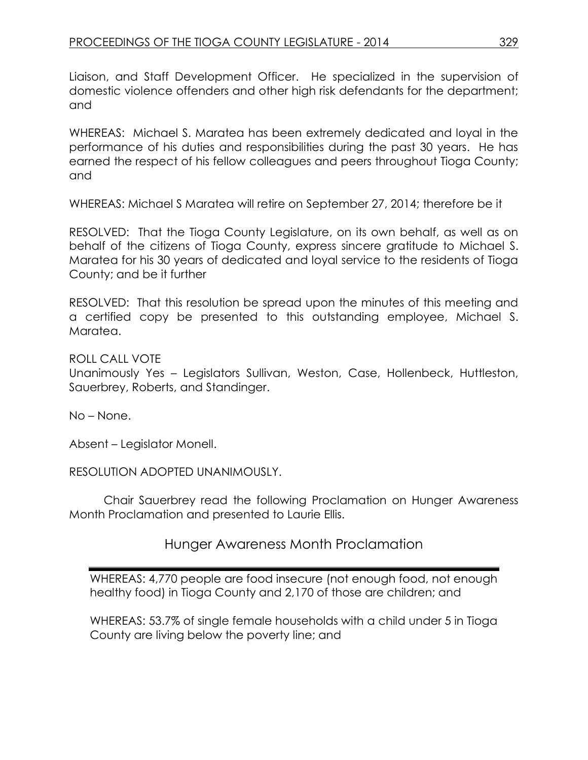Liaison, and Staff Development Officer. He specialized in the supervision of domestic violence offenders and other high risk defendants for the department; and

WHEREAS: Michael S. Maratea has been extremely dedicated and loyal in the performance of his duties and responsibilities during the past 30 years. He has earned the respect of his fellow colleagues and peers throughout Tioga County; and

WHEREAS: Michael S Maratea will retire on September 27, 2014; therefore be it

RESOLVED: That the Tioga County Legislature, on its own behalf, as well as on behalf of the citizens of Tioga County, express sincere gratitude to Michael S. Maratea for his 30 years of dedicated and loyal service to the residents of Tioga County; and be it further

RESOLVED: That this resolution be spread upon the minutes of this meeting and a certified copy be presented to this outstanding employee, Michael S. Maratea.

ROLL CALL VOTE

Unanimously Yes – Legislators Sullivan, Weston, Case, Hollenbeck, Huttleston, Sauerbrey, Roberts, and Standinger.

No – None.

Absent – Legislator Monell.

RESOLUTION ADOPTED UNANIMOUSLY.

Chair Sauerbrey read the following Proclamation on Hunger Awareness Month Proclamation and presented to Laurie Ellis.

# Hunger Awareness Month Proclamation

WHEREAS: 4,770 people are food insecure (not enough food, not enough healthy food) in Tioga County and 2,170 of those are children; and

WHEREAS: 53.7% of single female households with a child under 5 in Tioga County are living below the poverty line; and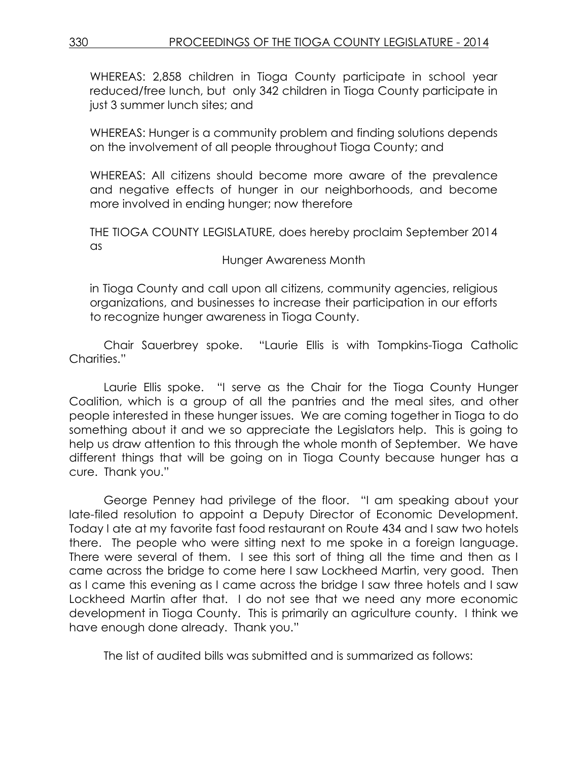WHEREAS: 2,858 children in Tioga County participate in school year reduced/free lunch, but only 342 children in Tioga County participate in just 3 summer lunch sites; and

WHEREAS: Hunger is a community problem and finding solutions depends on the involvement of all people throughout Tioga County; and

WHEREAS: All citizens should become more aware of the prevalence and negative effects of hunger in our neighborhoods, and become more involved in ending hunger; now therefore

THE TIOGA COUNTY LEGISLATURE, does hereby proclaim September 2014 as

Hunger Awareness Month

in Tioga County and call upon all citizens, community agencies, religious organizations, and businesses to increase their participation in our efforts to recognize hunger awareness in Tioga County.

Chair Sauerbrey spoke. "Laurie Ellis is with Tompkins-Tioga Catholic Charities."

Laurie Ellis spoke. "I serve as the Chair for the Tioga County Hunger Coalition, which is a group of all the pantries and the meal sites, and other people interested in these hunger issues. We are coming together in Tioga to do something about it and we so appreciate the Legislators help. This is going to help us draw attention to this through the whole month of September. We have different things that will be going on in Tioga County because hunger has a cure. Thank you."

George Penney had privilege of the floor. "I am speaking about your late-filed resolution to appoint a Deputy Director of Economic Development. Today I ate at my favorite fast food restaurant on Route 434 and I saw two hotels there. The people who were sitting next to me spoke in a foreign language. There were several of them. I see this sort of thing all the time and then as I came across the bridge to come here I saw Lockheed Martin, very good. Then as I came this evening as I came across the bridge I saw three hotels and I saw Lockheed Martin after that. I do not see that we need any more economic development in Tioga County. This is primarily an agriculture county. I think we have enough done already. Thank you."

The list of audited bills was submitted and is summarized as follows: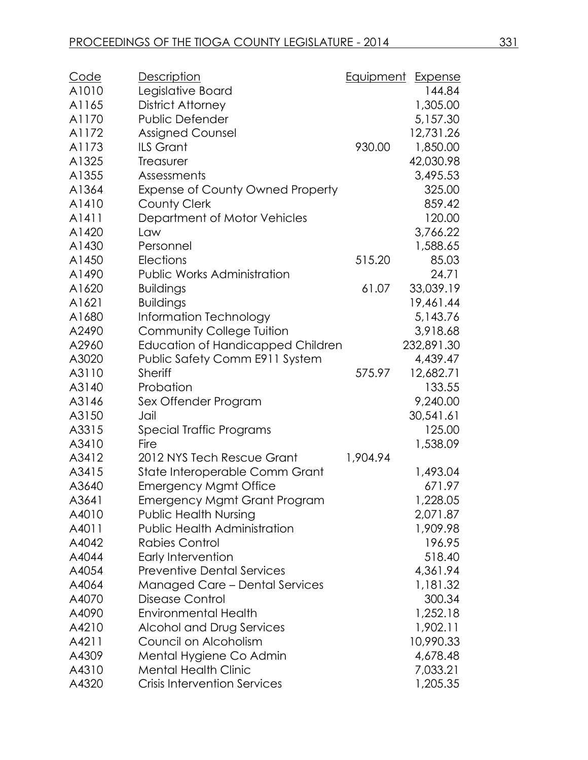| Code  | <b>Description</b>                       | Equipment | <b>Expense</b> |
|-------|------------------------------------------|-----------|----------------|
| A1010 | Legislative Board                        |           | 144.84         |
| A1165 | District Attorney                        |           | 1,305.00       |
| A1170 | <b>Public Defender</b>                   |           | 5,157.30       |
| A1172 | <b>Assigned Counsel</b>                  |           | 12,731.26      |
| A1173 | <b>ILS Grant</b>                         | 930.00    | 1,850.00       |
| A1325 | Treasurer                                |           | 42,030.98      |
| A1355 | Assessments                              |           | 3,495.53       |
| A1364 | Expense of County Owned Property         |           | 325.00         |
| A1410 | <b>County Clerk</b>                      |           | 859.42         |
| A1411 | Department of Motor Vehicles             |           | 120.00         |
| A1420 | Law                                      |           | 3,766.22       |
| A1430 | Personnel                                |           | 1,588.65       |
| A1450 | <b>Elections</b>                         | 515.20    | 85.03          |
| A1490 | <b>Public Works Administration</b>       |           | 24.71          |
| A1620 | <b>Buildings</b>                         | 61.07     | 33,039.19      |
| A1621 | <b>Buildings</b>                         |           | 19,461.44      |
| A1680 | Information Technology                   |           | 5,143.76       |
| A2490 | <b>Community College Tuition</b>         |           | 3,918.68       |
| A2960 | <b>Education of Handicapped Children</b> |           | 232,891.30     |
| A3020 | Public Safety Comm E911 System           |           | 4,439.47       |
| A3110 | <b>Sheriff</b>                           | 575.97    | 12,682.71      |
| A3140 | Probation                                |           | 133.55         |
| A3146 | Sex Offender Program                     |           | 9,240.00       |
| A3150 | Jail                                     |           | 30,541.61      |
| A3315 | Special Traffic Programs                 |           | 125.00         |
| A3410 | Fire                                     |           | 1,538.09       |
| A3412 | 2012 NYS Tech Rescue Grant               | 1,904.94  |                |
| A3415 | State Interoperable Comm Grant           |           | 1,493.04       |
| A3640 | <b>Emergency Mgmt Office</b>             |           | 671.97         |
| A3641 | <b>Emergency Mgmt Grant Program</b>      |           | 1,228.05       |
| A4010 | <b>Public Health Nursing</b>             |           | 2,071.87       |
| A4011 | <b>Public Health Administration</b>      |           | 1,909.98       |
| A4042 | <b>Rabies Control</b>                    |           | 196.95         |
| A4044 | Early Intervention                       |           | 518.40         |
| A4054 | <b>Preventive Dental Services</b>        |           | 4,361.94       |
| A4064 | <b>Managed Care - Dental Services</b>    |           | 1,181.32       |
| A4070 | Disease Control                          |           | 300.34         |
| A4090 | <b>Environmental Health</b>              |           | 1,252.18       |
| A4210 | Alcohol and Drug Services                |           | 1,902.11       |
| A4211 | Council on Alcoholism                    |           | 10,990.33      |
| A4309 | Mental Hygiene Co Admin                  |           | 4,678.48       |
| A4310 | <b>Mental Health Clinic</b>              |           | 7,033.21       |
| A4320 | <b>Crisis Intervention Services</b>      |           | 1,205.35       |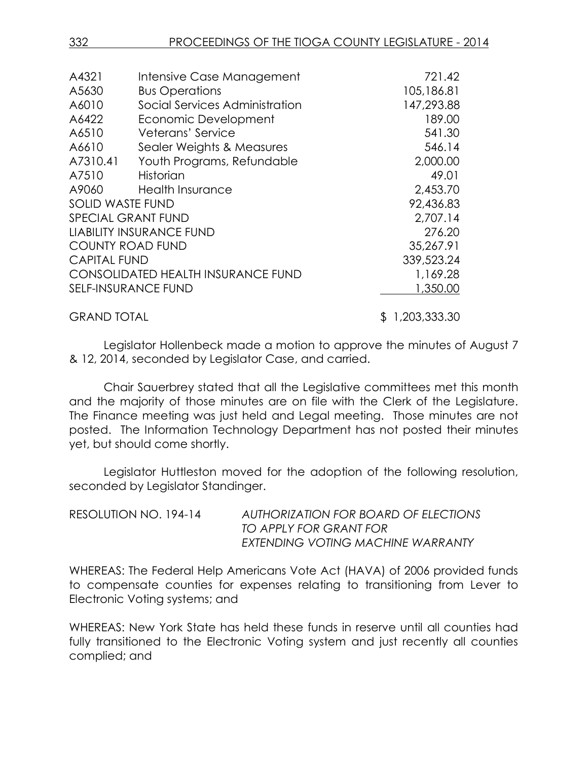| A4321                   | Intensive Case Management                 | 721.42         |
|-------------------------|-------------------------------------------|----------------|
| A5630                   | <b>Bus Operations</b>                     | 105,186.81     |
| A6010                   | Social Services Administration            | 147,293.88     |
| A6422                   | Economic Development                      | 189.00         |
| A6510                   | Veterans' Service                         | 541.30         |
| A6610                   | Sealer Weights & Measures                 | 546.14         |
| A7310.41                | Youth Programs, Refundable                | 2,000.00       |
| A7510                   | <b>Historian</b>                          | 49.01          |
| A9060                   | Health Insurance                          | 2,453.70       |
| <b>SOLID WASTE FUND</b> |                                           | 92,436.83      |
|                         | <b>SPECIAL GRANT FUND</b>                 | 2,707.14       |
|                         | <b>LIABILITY INSURANCE FUND</b>           | 276.20         |
|                         | <b>COUNTY ROAD FUND</b>                   | 35,267.91      |
| <b>CAPITAL FUND</b>     |                                           | 339,523.24     |
|                         | <b>CONSOLIDATED HEALTH INSURANCE FUND</b> | 1,169.28       |
|                         | SELF-INSURANCE FUND                       | 1,350.00       |
| <b>GRAND TOTAL</b>      |                                           | \$1,203,333.30 |

Legislator Hollenbeck made a motion to approve the minutes of August 7 & 12, 2014, seconded by Legislator Case, and carried.

Chair Sauerbrey stated that all the Legislative committees met this month and the majority of those minutes are on file with the Clerk of the Legislature. The Finance meeting was just held and Legal meeting. Those minutes are not posted. The Information Technology Department has not posted their minutes yet, but should come shortly.

Legislator Huttleston moved for the adoption of the following resolution, seconded by Legislator Standinger.

| RESOLUTION NO. 194-14 | AUTHORIZATION FOR BOARD OF ELECTIONS |
|-----------------------|--------------------------------------|
|                       | TO APPLY FOR GRANT FOR               |
|                       | EXTENDING VOTING MACHINE WARRANTY    |

WHEREAS: The Federal Help Americans Vote Act (HAVA) of 2006 provided funds to compensate counties for expenses relating to transitioning from Lever to Electronic Voting systems; and

WHEREAS: New York State has held these funds in reserve until all counties had fully transitioned to the Electronic Voting system and just recently all counties complied; and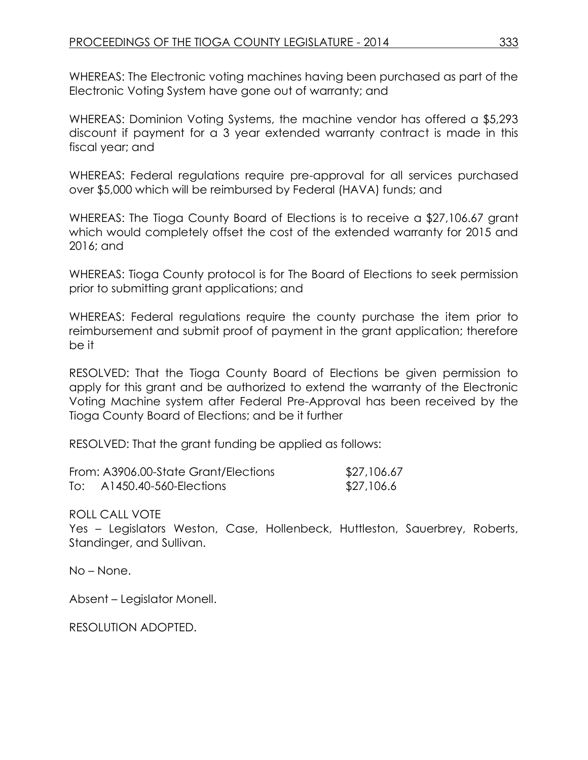WHEREAS: The Electronic voting machines having been purchased as part of the Electronic Voting System have gone out of warranty; and

WHEREAS: Dominion Voting Systems, the machine vendor has offered a \$5,293 discount if payment for a 3 year extended warranty contract is made in this fiscal year; and

WHEREAS: Federal regulations require pre-approval for all services purchased over \$5,000 which will be reimbursed by Federal (HAVA) funds; and

WHEREAS: The Tioga County Board of Elections is to receive a \$27,106.67 grant which would completely offset the cost of the extended warranty for 2015 and 2016; and

WHEREAS: Tioga County protocol is for The Board of Elections to seek permission prior to submitting grant applications; and

WHEREAS: Federal regulations require the county purchase the item prior to reimbursement and submit proof of payment in the grant application; therefore be it

RESOLVED: That the Tioga County Board of Elections be given permission to apply for this grant and be authorized to extend the warranty of the Electronic Voting Machine system after Federal Pre-Approval has been received by the Tioga County Board of Elections; and be it further

RESOLVED: That the grant funding be applied as follows:

|     | From: A3906.00-State Grant/Elections | \$27,106.67 |
|-----|--------------------------------------|-------------|
| To: | A1450.40-560-Elections               | \$27,106.6  |

ROLL CALL VOTE

Yes – Legislators Weston, Case, Hollenbeck, Huttleston, Sauerbrey, Roberts, Standinger, and Sullivan.

No – None.

Absent – Legislator Monell.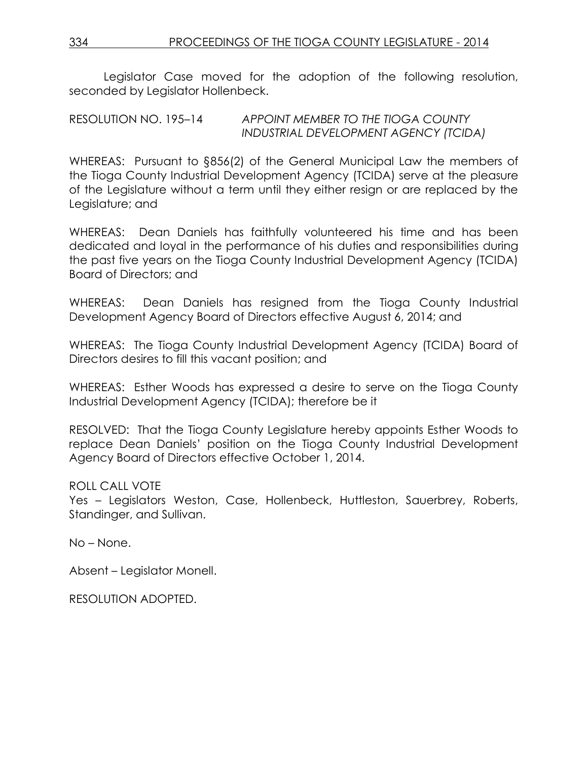Legislator Case moved for the adoption of the following resolution, seconded by Legislator Hollenbeck.

RESOLUTION NO. 195–14 *APPOINT MEMBER TO THE TIOGA COUNTY INDUSTRIAL DEVELOPMENT AGENCY (TCIDA)*

WHEREAS: Pursuant to §856(2) of the General Municipal Law the members of the Tioga County Industrial Development Agency (TCIDA) serve at the pleasure of the Legislature without a term until they either resign or are replaced by the Legislature; and

WHEREAS: Dean Daniels has faithfully volunteered his time and has been dedicated and loyal in the performance of his duties and responsibilities during the past five years on the Tioga County Industrial Development Agency (TCIDA) Board of Directors; and

WHEREAS: Dean Daniels has resigned from the Tioga County Industrial Development Agency Board of Directors effective August 6, 2014; and

WHEREAS: The Tioga County Industrial Development Agency (TCIDA) Board of Directors desires to fill this vacant position; and

WHEREAS: Esther Woods has expressed a desire to serve on the Tioga County Industrial Development Agency (TCIDA); therefore be it

RESOLVED: That the Tioga County Legislature hereby appoints Esther Woods to replace Dean Daniels' position on the Tioga County Industrial Development Agency Board of Directors effective October 1, 2014.

ROLL CALL VOTE

Yes – Legislators Weston, Case, Hollenbeck, Huttleston, Sauerbrey, Roberts, Standinger, and Sullivan.

No – None.

Absent – Legislator Monell.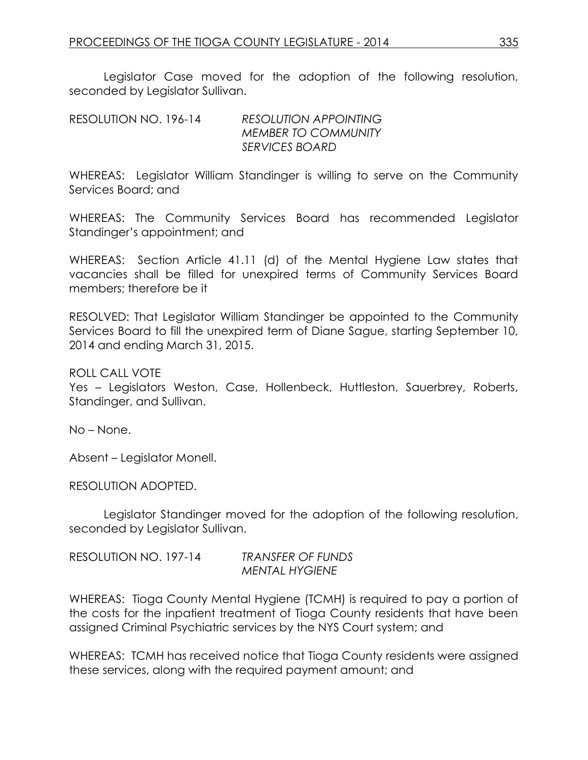Legislator Case moved for the adoption of the following resolution, seconded by Legislator Sullivan.

RESOLUTION NO. 196-14 *RESOLUTION APPOINTING MEMBER TO COMMUNITY SERVICES BOARD*

WHEREAS: Legislator William Standinger is willing to serve on the Community Services Board; and

WHEREAS: The Community Services Board has recommended Legislator Standinger's appointment; and

WHEREAS: Section Article 41.11 (d) of the Mental Hygiene Law states that vacancies shall be filled for unexpired terms of Community Services Board members; therefore be it

RESOLVED: That Legislator William Standinger be appointed to the Community Services Board to fill the unexpired term of Diane Sague, starting September 10, 2014 and ending March 31, 2015.

ROLL CALL VOTE

Yes – Legislators Weston, Case, Hollenbeck, Huttleston, Sauerbrey, Roberts, Standinger, and Sullivan.

No – None.

Absent – Legislator Monell.

RESOLUTION ADOPTED.

Legislator Standinger moved for the adoption of the following resolution, seconded by Legislator Sullivan.

| RESOLUTION NO. 197-14 | <b>TRANSFER OF FUNDS</b> |
|-----------------------|--------------------------|
|                       | <b>MENTAL HYGIENE</b>    |

WHEREAS: Tioga County Mental Hygiene (TCMH) is required to pay a portion of the costs for the inpatient treatment of Tioga County residents that have been assigned Criminal Psychiatric services by the NYS Court system; and

WHEREAS: TCMH has received notice that Tioga County residents were assigned these services, along with the required payment amount; and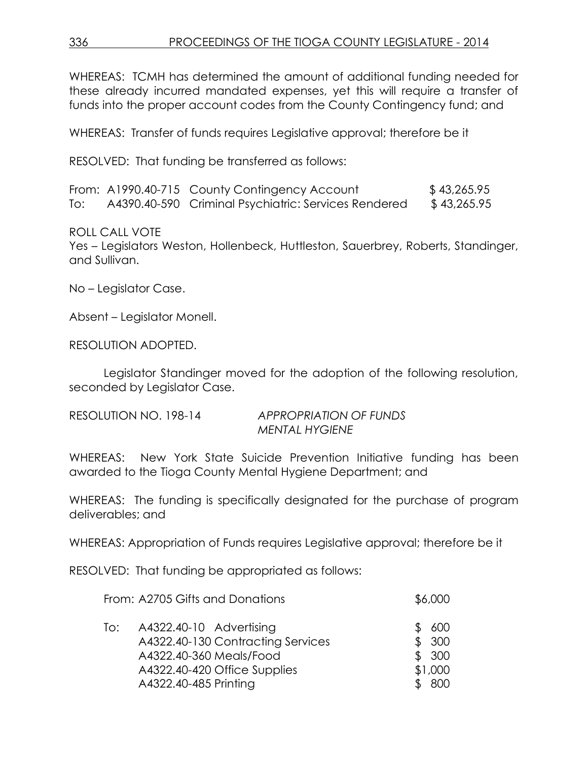WHEREAS: TCMH has determined the amount of additional funding needed for these already incurred mandated expenses, yet this will require a transfer of funds into the proper account codes from the County Contingency fund; and

WHEREAS: Transfer of funds requires Legislative approval; therefore be it

RESOLVED: That funding be transferred as follows:

|     | From: A1990.40-715 County Contingency Account        | \$43,265.95 |
|-----|------------------------------------------------------|-------------|
| To: | A4390.40-590 Criminal Psychiatric: Services Rendered | \$43,265.95 |

#### ROLL CALL VOTE

Yes – Legislators Weston, Hollenbeck, Huttleston, Sauerbrey, Roberts, Standinger, and Sullivan.

No – Legislator Case.

Absent – Legislator Monell.

#### RESOLUTION ADOPTED.

Legislator Standinger moved for the adoption of the following resolution, seconded by Legislator Case.

| RESOLUTION NO. 198-14 | <b>APPROPRIATION OF FUNDS</b> |
|-----------------------|-------------------------------|
|                       | <b>MENTAL HYGIENE</b>         |

WHEREAS: New York State Suicide Prevention Initiative funding has been awarded to the Tioga County Mental Hygiene Department; and

WHEREAS: The funding is specifically designated for the purchase of program deliverables; and

WHEREAS: Appropriation of Funds requires Legislative approval; therefore be it

RESOLVED: That funding be appropriated as follows:

| From: A2705 Gifts and Donations                                                                                                                         | \$6,000                                  |
|---------------------------------------------------------------------------------------------------------------------------------------------------------|------------------------------------------|
| A4322.40-10 Advertising<br>To:<br>A4322.40-130 Contracting Services<br>A4322.40-360 Meals/Food<br>A4322.40-420 Office Supplies<br>A4322.40-485 Printing | 600<br>\$300<br>\$300<br>\$1,000<br>-800 |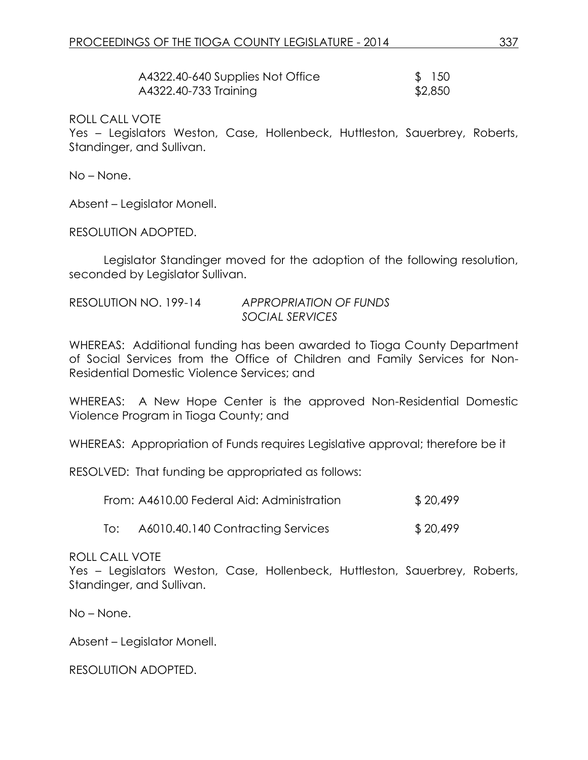| A4322.40-640 Supplies Not Office | \$150   |
|----------------------------------|---------|
| A4322.40-733 Training            | \$2,850 |

ROLL CALL VOTE

Yes – Legislators Weston, Case, Hollenbeck, Huttleston, Sauerbrey, Roberts, Standinger, and Sullivan.

No – None.

Absent – Legislator Monell.

RESOLUTION ADOPTED.

Legislator Standinger moved for the adoption of the following resolution, seconded by Legislator Sullivan.

| RESOLUTION NO. 199-14 | <b>APPROPRIATION OF FUNDS</b> |
|-----------------------|-------------------------------|
|                       | SOCIAL SERVICES               |

WHEREAS: Additional funding has been awarded to Tioga County Department of Social Services from the Office of Children and Family Services for Non-Residential Domestic Violence Services; and

WHEREAS: A New Hope Center is the approved Non-Residential Domestic Violence Program in Tioga County; and

WHEREAS: Appropriation of Funds requires Legislative approval; therefore be it

RESOLVED: That funding be appropriated as follows:

| From: A4610.00 Federal Aid: Administration | \$20,499 |
|--------------------------------------------|----------|
|                                            |          |

To: A6010.40.140 Contracting Services \$ 20,499

#### ROLL CALL VOTE

Yes – Legislators Weston, Case, Hollenbeck, Huttleston, Sauerbrey, Roberts, Standinger, and Sullivan.

No – None.

Absent – Legislator Monell.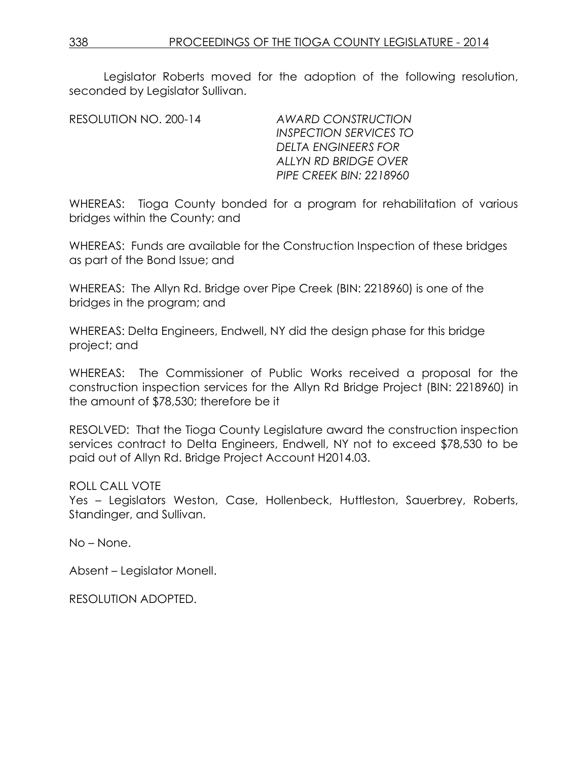Legislator Roberts moved for the adoption of the following resolution, seconded by Legislator Sullivan.

RESOLUTION NO. 200-14 *AWARD CONSTRUCTION INSPECTION SERVICES TO DELTA ENGINEERS FOR ALLYN RD BRIDGE OVER PIPE CREEK BIN: 2218960*

WHEREAS: Tioga County bonded for a program for rehabilitation of various bridges within the County; and

WHEREAS: Funds are available for the Construction Inspection of these bridges as part of the Bond Issue; and

WHEREAS: The Allyn Rd. Bridge over Pipe Creek (BIN: 2218960) is one of the bridges in the program; and

WHEREAS: Delta Engineers, Endwell, NY did the design phase for this bridge project; and

WHEREAS: The Commissioner of Public Works received a proposal for the construction inspection services for the Allyn Rd Bridge Project (BIN: 2218960) in the amount of \$78,530; therefore be it

RESOLVED: That the Tioga County Legislature award the construction inspection services contract to Delta Engineers, Endwell, NY not to exceed \$78,530 to be paid out of Allyn Rd. Bridge Project Account H2014.03.

ROLL CALL VOTE

Yes – Legislators Weston, Case, Hollenbeck, Huttleston, Sauerbrey, Roberts, Standinger, and Sullivan.

No – None.

Absent – Legislator Monell.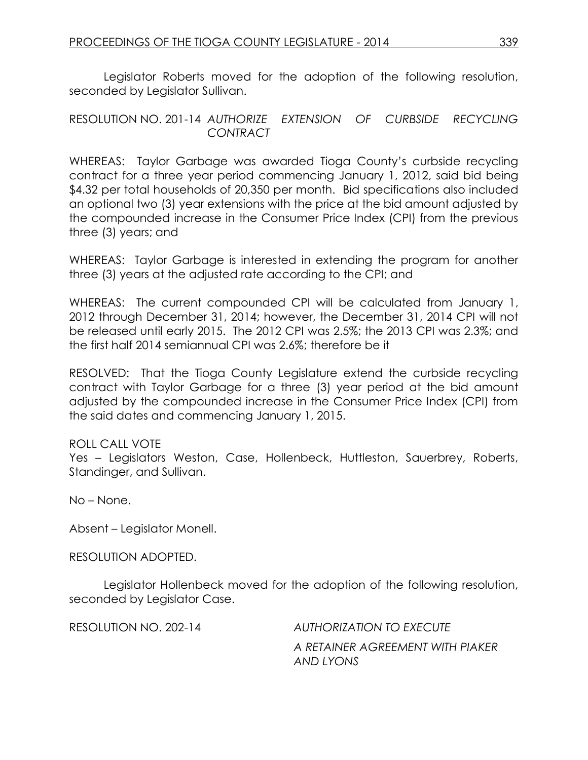Legislator Roberts moved for the adoption of the following resolution, seconded by Legislator Sullivan.

## RESOLUTION NO. 201-14 *AUTHORIZE EXTENSION OF CURBSIDE RECYCLING CONTRACT*

WHEREAS: Taylor Garbage was awarded Tioga County's curbside recycling contract for a three year period commencing January 1, 2012, said bid being \$4.32 per total households of 20,350 per month. Bid specifications also included an optional two (3) year extensions with the price at the bid amount adjusted by the compounded increase in the Consumer Price Index (CPI) from the previous three (3) years; and

WHEREAS: Taylor Garbage is interested in extending the program for another three (3) years at the adjusted rate according to the CPI; and

WHEREAS: The current compounded CPI will be calculated from January 1, 2012 through December 31, 2014; however, the December 31, 2014 CPI will not be released until early 2015. The 2012 CPI was 2.5%; the 2013 CPI was 2.3%; and the first half 2014 semiannual CPI was 2.6%; therefore be it

RESOLVED: That the Tioga County Legislature extend the curbside recycling contract with Taylor Garbage for a three (3) year period at the bid amount adjusted by the compounded increase in the Consumer Price Index (CPI) from the said dates and commencing January 1, 2015.

### ROLL CALL VOTE

Yes – Legislators Weston, Case, Hollenbeck, Huttleston, Sauerbrey, Roberts, Standinger, and Sullivan.

No – None.

Absent – Legislator Monell.

RESOLUTION ADOPTED.

Legislator Hollenbeck moved for the adoption of the following resolution, seconded by Legislator Case.

RESOLUTION NO. 202-14 *AUTHORIZATION TO EXECUTE*

*A RETAINER AGREEMENT WITH PIAKER AND LYONS*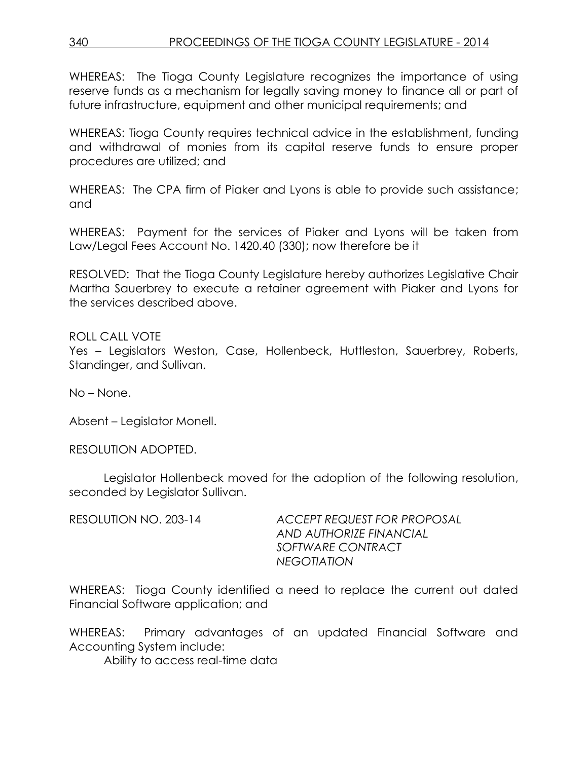WHEREAS: The Tioga County Legislature recognizes the importance of using reserve funds as a mechanism for legally saving money to finance all or part of future infrastructure, equipment and other municipal requirements; and

WHEREAS: Tioga County requires technical advice in the establishment, funding and withdrawal of monies from its capital reserve funds to ensure proper procedures are utilized; and

WHEREAS: The CPA firm of Piaker and Lyons is able to provide such assistance; and

WHEREAS: Payment for the services of Piaker and Lyons will be taken from Law/Legal Fees Account No. 1420.40 (330); now therefore be it

RESOLVED: That the Tioga County Legislature hereby authorizes Legislative Chair Martha Sauerbrey to execute a retainer agreement with Piaker and Lyons for the services described above.

ROLL CALL VOTE Yes – Legislators Weston, Case, Hollenbeck, Huttleston, Sauerbrey, Roberts, Standinger, and Sullivan.

No – None.

Absent – Legislator Monell.

RESOLUTION ADOPTED.

Legislator Hollenbeck moved for the adoption of the following resolution, seconded by Legislator Sullivan.

RESOLUTION NO. 203-14 *ACCEPT REQUEST FOR PROPOSAL AND AUTHORIZE FINANCIAL SOFTWARE CONTRACT NEGOTIATION*

WHEREAS: Tioga County identified a need to replace the current out dated Financial Software application; and

WHEREAS: Primary advantages of an updated Financial Software and Accounting System include:

Ability to access real-time data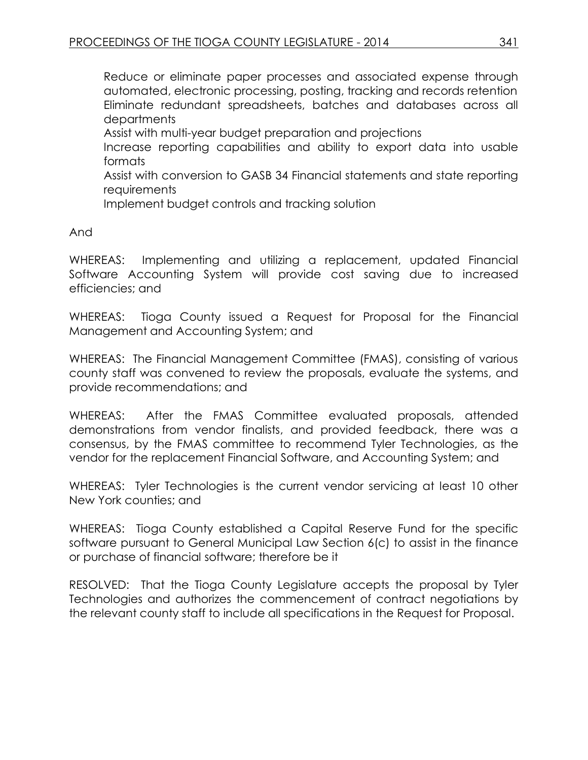Reduce or eliminate paper processes and associated expense through automated, electronic processing, posting, tracking and records retention Eliminate redundant spreadsheets, batches and databases across all departments

Assist with multi-year budget preparation and projections

Increase reporting capabilities and ability to export data into usable formats

Assist with conversion to GASB 34 Financial statements and state reporting **requirements** 

Implement budget controls and tracking solution

And

WHEREAS: Implementing and utilizing a replacement, updated Financial Software Accounting System will provide cost saving due to increased efficiencies; and

WHEREAS: Tioga County issued a Request for Proposal for the Financial Management and Accounting System; and

WHEREAS: The Financial Management Committee (FMAS), consisting of various county staff was convened to review the proposals, evaluate the systems, and provide recommendations; and

WHEREAS: After the FMAS Committee evaluated proposals, attended demonstrations from vendor finalists, and provided feedback, there was a consensus, by the FMAS committee to recommend Tyler Technologies, as the vendor for the replacement Financial Software, and Accounting System; and

WHEREAS: Tyler Technologies is the current vendor servicing at least 10 other New York counties; and

WHEREAS: Tioga County established a Capital Reserve Fund for the specific software pursuant to General Municipal Law Section 6(c) to assist in the finance or purchase of financial software; therefore be it

RESOLVED: That the Tioga County Legislature accepts the proposal by Tyler Technologies and authorizes the commencement of contract negotiations by the relevant county staff to include all specifications in the Request for Proposal.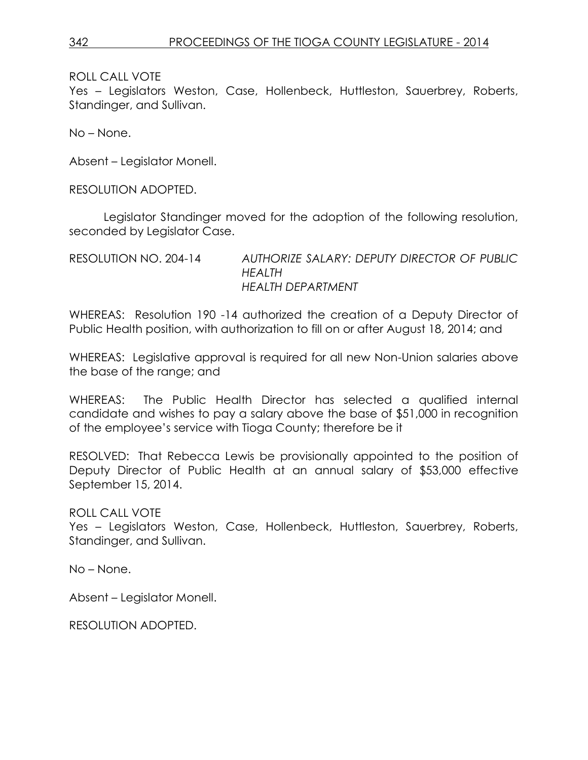ROLL CALL VOTE

Yes – Legislators Weston, Case, Hollenbeck, Huttleston, Sauerbrey, Roberts, Standinger, and Sullivan.

No – None.

Absent – Legislator Monell.

RESOLUTION ADOPTED.

Legislator Standinger moved for the adoption of the following resolution, seconded by Legislator Case.

RESOLUTION NO. 204-14 *AUTHORIZE SALARY: DEPUTY DIRECTOR OF PUBLIC HEALTH HEALTH DEPARTMENT*

WHEREAS: Resolution 190 -14 authorized the creation of a Deputy Director of Public Health position, with authorization to fill on or after August 18, 2014; and

WHEREAS: Legislative approval is required for all new Non-Union salaries above the base of the range; and

WHEREAS: The Public Health Director has selected a qualified internal candidate and wishes to pay a salary above the base of \$51,000 in recognition of the employee's service with Tioga County; therefore be it

RESOLVED: That Rebecca Lewis be provisionally appointed to the position of Deputy Director of Public Health at an annual salary of \$53,000 effective September 15, 2014.

ROLL CALL VOTE Yes – Legislators Weston, Case, Hollenbeck, Huttleston, Sauerbrey, Roberts, Standinger, and Sullivan.

No – None.

Absent – Legislator Monell.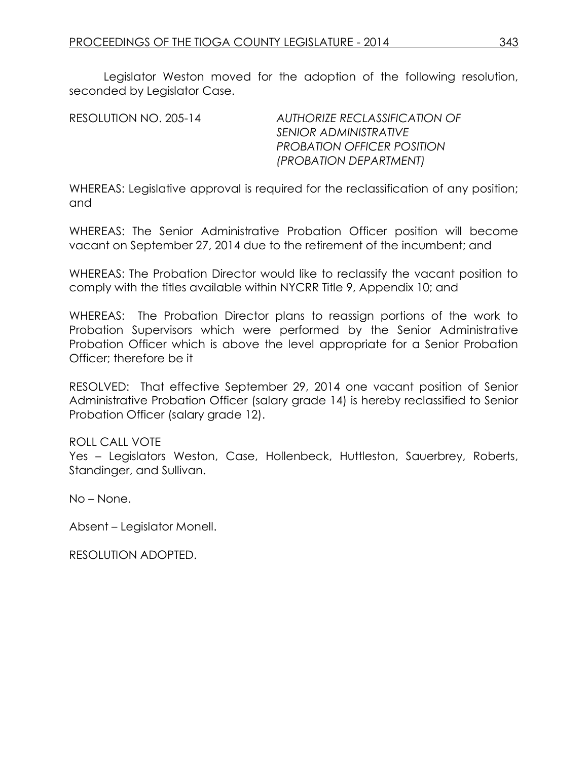Legislator Weston moved for the adoption of the following resolution, seconded by Legislator Case.

RESOLUTION NO. 205-14 *AUTHORIZE RECLASSIFICATION OF SENIOR ADMINISTRATIVE PROBATION OFFICER POSITION (PROBATION DEPARTMENT)*

WHEREAS: Legislative approval is required for the reclassification of any position; and

WHEREAS: The Senior Administrative Probation Officer position will become vacant on September 27, 2014 due to the retirement of the incumbent; and

WHEREAS: The Probation Director would like to reclassify the vacant position to comply with the titles available within NYCRR Title 9, Appendix 10; and

WHEREAS: The Probation Director plans to reassign portions of the work to Probation Supervisors which were performed by the Senior Administrative Probation Officer which is above the level appropriate for a Senior Probation Officer; therefore be it

RESOLVED: That effective September 29, 2014 one vacant position of Senior Administrative Probation Officer (salary grade 14) is hereby reclassified to Senior Probation Officer (salary grade 12).

### ROLL CALL VOTE

Yes – Legislators Weston, Case, Hollenbeck, Huttleston, Sauerbrey, Roberts, Standinger, and Sullivan.

No – None.

Absent – Legislator Monell.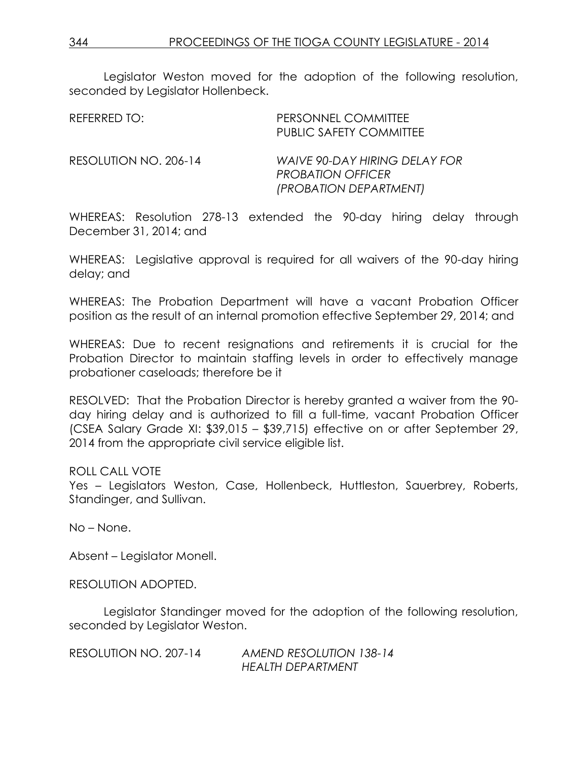Legislator Weston moved for the adoption of the following resolution, seconded by Legislator Hollenbeck.

| REFERRED TO:          | PERSONNEL COMMITTEE<br><b>PUBLIC SAFETY COMMITTEE</b>                               |
|-----------------------|-------------------------------------------------------------------------------------|
| RESOLUTION NO. 206-14 | WAIVE 90-DAY HIRING DELAY FOR<br><b>PROBATION OFFICER</b><br>(PROBATION DEPARTMENT) |

WHEREAS: Resolution 278-13 extended the 90-day hiring delay through December 31, 2014; and

WHEREAS: Legislative approval is required for all waivers of the 90-day hiring delay; and

WHEREAS: The Probation Department will have a vacant Probation Officer position as the result of an internal promotion effective September 29, 2014; and

WHEREAS: Due to recent resignations and retirements it is crucial for the Probation Director to maintain staffing levels in order to effectively manage probationer caseloads; therefore be it

RESOLVED: That the Probation Director is hereby granted a waiver from the 90 day hiring delay and is authorized to fill a full-time, vacant Probation Officer (CSEA Salary Grade XI: \$39,015 – \$39,715) effective on or after September 29, 2014 from the appropriate civil service eligible list.

#### ROLL CALL VOTE

Yes – Legislators Weston, Case, Hollenbeck, Huttleston, Sauerbrey, Roberts, Standinger, and Sullivan.

No – None.

Absent – Legislator Monell.

RESOLUTION ADOPTED.

Legislator Standinger moved for the adoption of the following resolution, seconded by Legislator Weston.

RESOLUTION NO. 207-14 *AMEND RESOLUTION 138-14 HEALTH DEPARTMENT*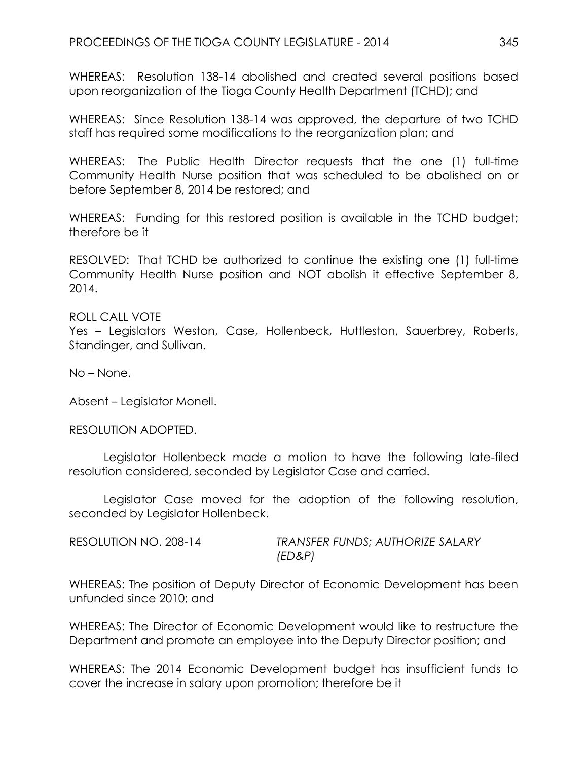WHEREAS: Resolution 138-14 abolished and created several positions based upon reorganization of the Tioga County Health Department (TCHD); and

WHEREAS: Since Resolution 138-14 was approved, the departure of two TCHD staff has required some modifications to the reorganization plan; and

WHEREAS: The Public Health Director requests that the one (1) full-time Community Health Nurse position that was scheduled to be abolished on or before September 8, 2014 be restored; and

WHEREAS: Funding for this restored position is available in the TCHD budget; therefore be it

RESOLVED: That TCHD be authorized to continue the existing one (1) full-time Community Health Nurse position and NOT abolish it effective September 8, 2014.

ROLL CALL VOTE Yes – Legislators Weston, Case, Hollenbeck, Huttleston, Sauerbrey, Roberts, Standinger, and Sullivan.

No – None.

Absent – Legislator Monell.

RESOLUTION ADOPTED.

Legislator Hollenbeck made a motion to have the following late-filed resolution considered, seconded by Legislator Case and carried.

Legislator Case moved for the adoption of the following resolution, seconded by Legislator Hollenbeck.

| RESOLUTION NO. 208-14 | TRANSFER FUNDS; AUTHORIZE SALARY |
|-----------------------|----------------------------------|
|                       | (ED&P)                           |

WHEREAS: The position of Deputy Director of Economic Development has been unfunded since 2010; and

WHEREAS: The Director of Economic Development would like to restructure the Department and promote an employee into the Deputy Director position; and

WHEREAS: The 2014 Economic Development budget has insufficient funds to cover the increase in salary upon promotion; therefore be it